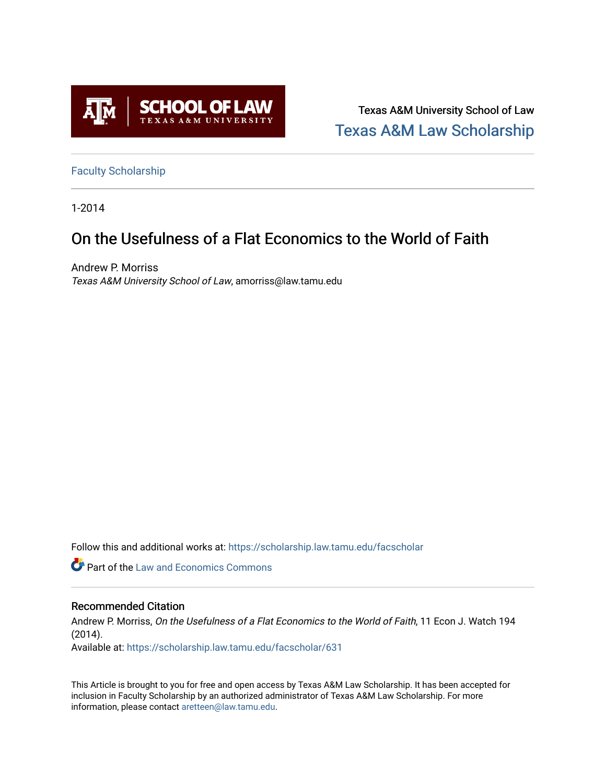

Texas A&M University School of Law [Texas A&M Law Scholarship](https://scholarship.law.tamu.edu/) 

[Faculty Scholarship](https://scholarship.law.tamu.edu/facscholar)

1-2014

# On the Usefulness of a Flat Economics to the World of Faith

Andrew P. Morriss Texas A&M University School of Law, amorriss@law.tamu.edu

Follow this and additional works at: [https://scholarship.law.tamu.edu/facscholar](https://scholarship.law.tamu.edu/facscholar?utm_source=scholarship.law.tamu.edu%2Ffacscholar%2F631&utm_medium=PDF&utm_campaign=PDFCoverPages) 

**C** Part of the Law and Economics Commons

#### Recommended Citation

Andrew P. Morriss, On the Usefulness of a Flat Economics to the World of Faith, 11 Econ J. Watch 194 (2014).

Available at: [https://scholarship.law.tamu.edu/facscholar/631](https://scholarship.law.tamu.edu/facscholar/631?utm_source=scholarship.law.tamu.edu%2Ffacscholar%2F631&utm_medium=PDF&utm_campaign=PDFCoverPages)

This Article is brought to you for free and open access by Texas A&M Law Scholarship. It has been accepted for inclusion in Faculty Scholarship by an authorized administrator of Texas A&M Law Scholarship. For more information, please contact [aretteen@law.tamu.edu](mailto:aretteen@law.tamu.edu).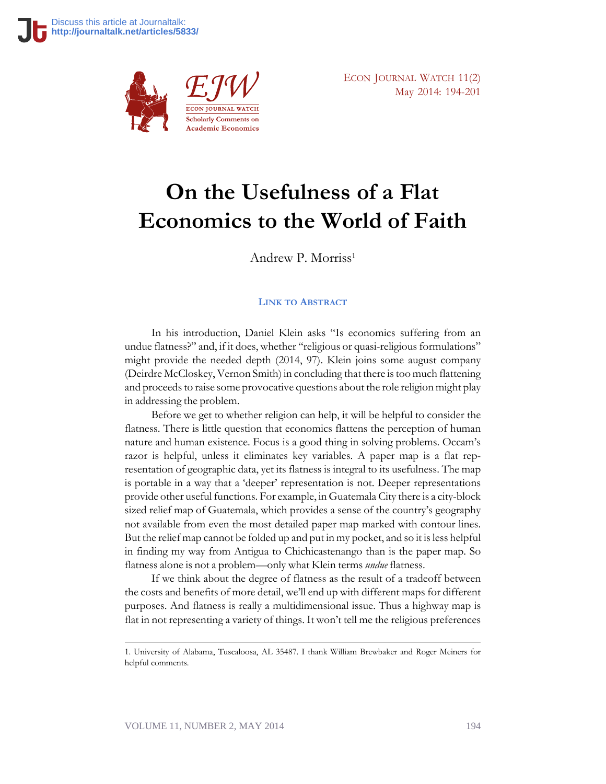

ECON JOURNAL WATCH 11(2) May 2014: 194-201

# **On the Usefulness of a Flat Economics to the World of Faith**

Andrew P. Morriss<sup>1</sup>

#### **LINK TO A[BSTRACT](http://econjwatch.org/934)**

In his introduction, Daniel Klein asks "Is economics suffering from an undue flatness?" and, if it does, whether "religious or quasi-religious formulations" might provide the needed depth (2014, 97). Klein joins some august company (Deirdre McCloskey, Vernon Smith) in concluding that there is too much flattening and proceeds to raise some provocative questions about the role religion might play in addressing the problem.

Before we get to whether religion can help, it will be helpful to consider the flatness. There is little question that economics flattens the perception of human nature and human existence. Focus is a good thing in solving problems. Occam's razor is helpful, unless it eliminates key variables. A paper map is a flat representation of geographic data, yet its flatness is integral to its usefulness. The map is portable in a way that a 'deeper' representation is not. Deeper representations provide other useful functions. For example, in Guatemala City there is a city-block sized relief map of Guatemala, which provides a sense of the country's geography not available from even the most detailed paper map marked with contour lines. But the relief map cannot be folded up and put in my pocket, and so it is less helpful in finding my way from Antigua to Chichicastenango than is the paper map. So flatness alone is not a problem—only what Klein terms *undue* flatness.

If we think about the degree of flatness as the result of a tradeoff between the costs and benefits of more detail, we'll end up with different maps for different purposes. And flatness is really a multidimensional issue. Thus a highway map is flat in not representing a variety of things. It won't tell me the religious preferences

<sup>1.</sup> University of Alabama, Tuscaloosa, AL 35487. I thank William Brewbaker and Roger Meiners for helpful comments.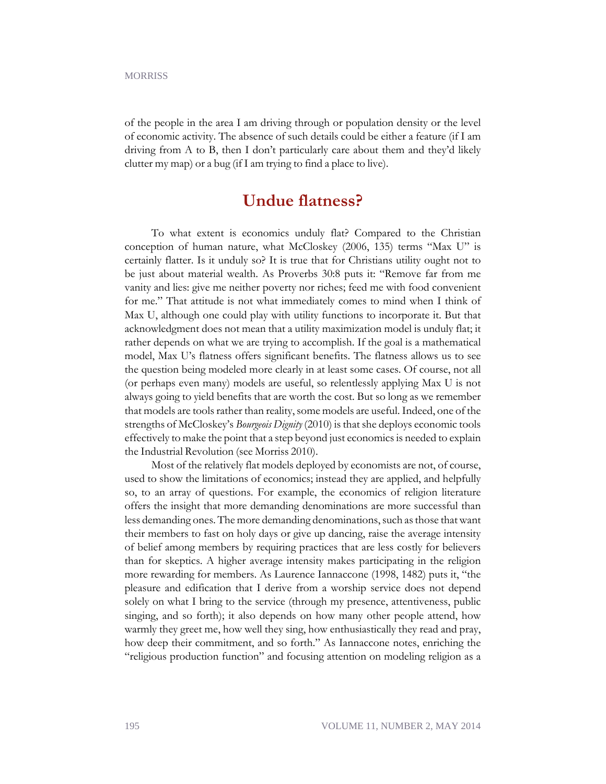of the people in the area I am driving through or population density or the level of economic activity. The absence of such details could be either a feature (if I am driving from A to B, then I don't particularly care about them and they'd likely clutter my map) or a bug (if I am trying to find a place to live).

### **Undue flatness?**

To what extent is economics unduly flat? Compared to the Christian conception of human nature, what McCloskey (2006, 135) terms "Max U" is certainly flatter. Is it unduly so? It is true that for Christians utility ought not to be just about material wealth. As Proverbs 30:8 puts it: "Remove far from me vanity and lies: give me neither poverty nor riches; feed me with food convenient for me." That attitude is not what immediately comes to mind when I think of Max U, although one could play with utility functions to incorporate it. But that acknowledgment does not mean that a utility maximization model is unduly flat; it rather depends on what we are trying to accomplish. If the goal is a mathematical model, Max U's flatness offers significant benefits. The flatness allows us to see the question being modeled more clearly in at least some cases. Of course, not all (or perhaps even many) models are useful, so relentlessly applying Max U is not always going to yield benefits that are worth the cost. But so long as we remember that models are tools rather than reality, some models are useful. Indeed, one of the strengths of McCloskey's *Bourgeois Dignity* (2010) is that she deploys economic tools effectively to make the point that a step beyond just economics is needed to explain the Industrial Revolution (see Morriss 2010).

Most of the relatively flat models deployed by economists are not, of course, used to show the limitations of economics; instead they are applied, and helpfully so, to an array of questions. For example, the economics of religion literature offers the insight that more demanding denominations are more successful than less demanding ones. The more demanding denominations, such as those that want their members to fast on holy days or give up dancing, raise the average intensity of belief among members by requiring practices that are less costly for believers than for skeptics. A higher average intensity makes participating in the religion more rewarding for members. As Laurence Iannaccone (1998, 1482) puts it, "the pleasure and edification that I derive from a worship service does not depend solely on what I bring to the service (through my presence, attentiveness, public singing, and so forth); it also depends on how many other people attend, how warmly they greet me, how well they sing, how enthusiastically they read and pray, how deep their commitment, and so forth." As Iannaccone notes, enriching the "religious production function" and focusing attention on modeling religion as a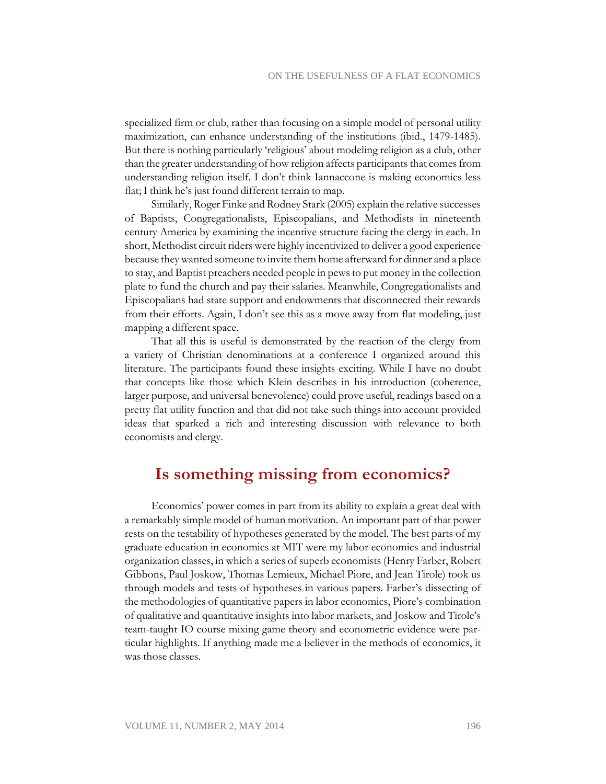specialized firm or club, rather than focusing on a simple model of personal utility maximization, can enhance understanding of the institutions (ibid., 1479-1485). But there is nothing particularly 'religious' about modeling religion as a club, other than the greater understanding of how religion affects participants that comes from understanding religion itself. I don't think Iannaccone is making economics less flat; I think he's just found different terrain to map.

Similarly, Roger Finke and Rodney Stark (2005) explain the relative successes of Baptists, Congregationalists, Episcopalians, and Methodists in nineteenth century America by examining the incentive structure facing the clergy in each. In short, Methodist circuit riders were highly incentivized to deliver a good experience because they wanted someone to invite them home afterward for dinner and a place to stay, and Baptist preachers needed people in pews to put money in the collection plate to fund the church and pay their salaries. Meanwhile, Congregationalists and Episcopalians had state support and endowments that disconnected their rewards from their efforts. Again, I don't see this as a move away from flat modeling, just mapping a different space.

That all this is useful is demonstrated by the reaction of the clergy from a variety of Christian denominations at a conference I organized around this literature. The participants found these insights exciting. While I have no doubt that concepts like those which Klein describes in his introduction (coherence, larger purpose, and universal benevolence) could prove useful, readings based on a pretty flat utility function and that did not take such things into account provided ideas that sparked a rich and interesting discussion with relevance to both economists and clergy.

### **Is something missing from economics?**

Economics' power comes in part from its ability to explain a great deal with a remarkably simple model of human motivation. An important part of that power rests on the testability of hypotheses generated by the model. The best parts of my graduate education in economics at MIT were my labor economics and industrial organization classes, in which a series of superb economists (Henry Farber, Robert Gibbons, Paul Joskow, Thomas Lemieux, Michael Piore, and Jean Tirole) took us through models and tests of hypotheses in various papers. Farber's dissecting of the methodologies of quantitative papers in labor economics, Piore's combination of qualitative and quantitative insights into labor markets, and Joskow and Tirole's team-taught IO course mixing game theory and econometric evidence were particular highlights. If anything made me a believer in the methods of economics, it was those classes.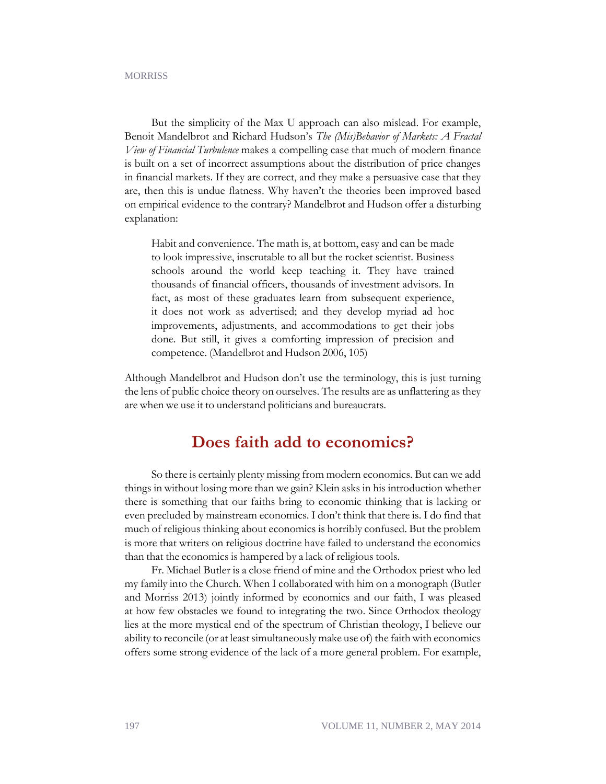#### **MORRISS**

But the simplicity of the Max U approach can also mislead. For example, Benoit Mandelbrot and Richard Hudson's *The (Mis)Behavior of Markets: A Fractal View of Financial Turbulence* makes a compelling case that much of modern finance is built on a set of incorrect assumptions about the distribution of price changes in financial markets. If they are correct, and they make a persuasive case that they are, then this is undue flatness. Why haven't the theories been improved based on empirical evidence to the contrary? Mandelbrot and Hudson offer a disturbing explanation:

Habit and convenience. The math is, at bottom, easy and can be made to look impressive, inscrutable to all but the rocket scientist. Business schools around the world keep teaching it. They have trained thousands of financial officers, thousands of investment advisors. In fact, as most of these graduates learn from subsequent experience, it does not work as advertised; and they develop myriad ad hoc improvements, adjustments, and accommodations to get their jobs done. But still, it gives a comforting impression of precision and competence. (Mandelbrot and Hudson 2006, 105)

Although Mandelbrot and Hudson don't use the terminology, this is just turning the lens of public choice theory on ourselves. The results are as unflattering as they are when we use it to understand politicians and bureaucrats.

### **Does faith add to economics?**

So there is certainly plenty missing from modern economics. But can we add things in without losing more than we gain? Klein asks in his introduction whether there is something that our faiths bring to economic thinking that is lacking or even precluded by mainstream economics. I don't think that there is. I do find that much of religious thinking about economics is horribly confused. But the problem is more that writers on religious doctrine have failed to understand the economics than that the economics is hampered by a lack of religious tools.

Fr. Michael Butler is a close friend of mine and the Orthodox priest who led my family into the Church. When I collaborated with him on a monograph (Butler and Morriss 2013) jointly informed by economics and our faith, I was pleased at how few obstacles we found to integrating the two. Since Orthodox theology lies at the more mystical end of the spectrum of Christian theology, I believe our ability to reconcile (or at least simultaneously make use of) the faith with economics offers some strong evidence of the lack of a more general problem. For example,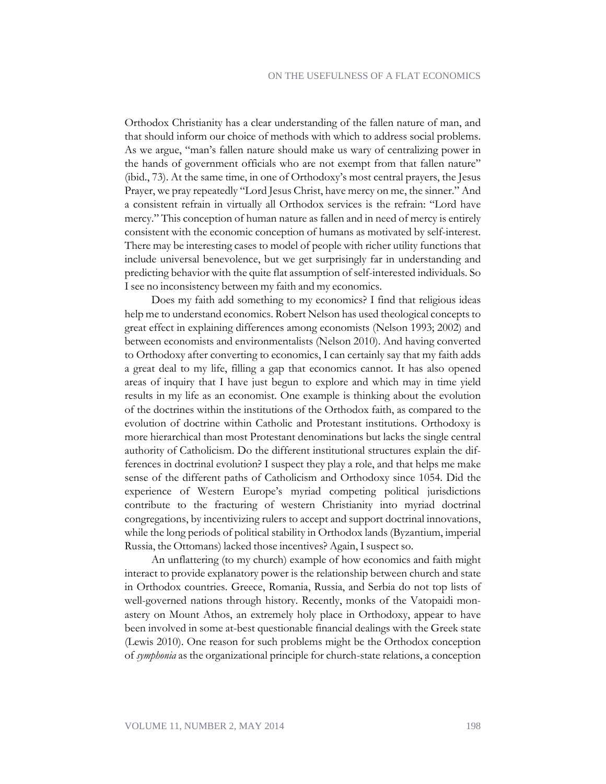Orthodox Christianity has a clear understanding of the fallen nature of man, and that should inform our choice of methods with which to address social problems. As we argue, "man's fallen nature should make us wary of centralizing power in the hands of government officials who are not exempt from that fallen nature" (ibid., 73). At the same time, in one of Orthodoxy's most central prayers, the Jesus Prayer, we pray repeatedly "Lord Jesus Christ, have mercy on me, the sinner." And a consistent refrain in virtually all Orthodox services is the refrain: "Lord have mercy." This conception of human nature as fallen and in need of mercy is entirely consistent with the economic conception of humans as motivated by self-interest. There may be interesting cases to model of people with richer utility functions that include universal benevolence, but we get surprisingly far in understanding and predicting behavior with the quite flat assumption of self-interested individuals. So I see no inconsistency between my faith and my economics.

Does my faith add something to my economics? I find that religious ideas help me to understand economics. Robert Nelson has used theological concepts to great effect in explaining differences among economists (Nelson 1993; 2002) and between economists and environmentalists (Nelson 2010). And having converted to Orthodoxy after converting to economics, I can certainly say that my faith adds a great deal to my life, filling a gap that economics cannot. It has also opened areas of inquiry that I have just begun to explore and which may in time yield results in my life as an economist. One example is thinking about the evolution of the doctrines within the institutions of the Orthodox faith, as compared to the evolution of doctrine within Catholic and Protestant institutions. Orthodoxy is more hierarchical than most Protestant denominations but lacks the single central authority of Catholicism. Do the different institutional structures explain the differences in doctrinal evolution? I suspect they play a role, and that helps me make sense of the different paths of Catholicism and Orthodoxy since 1054. Did the experience of Western Europe's myriad competing political jurisdictions contribute to the fracturing of western Christianity into myriad doctrinal congregations, by incentivizing rulers to accept and support doctrinal innovations, while the long periods of political stability in Orthodox lands (Byzantium, imperial Russia, the Ottomans) lacked those incentives? Again, I suspect so.

An unflattering (to my church) example of how economics and faith might interact to provide explanatory power is the relationship between church and state in Orthodox countries. Greece, Romania, Russia, and Serbia do not top lists of well-governed nations through history. Recently, monks of the Vatopaidi monastery on Mount Athos, an extremely holy place in Orthodoxy, appear to have been involved in some at-best questionable financial dealings with the Greek state (Lewis 2010). One reason for such problems might be the Orthodox conception of *symphonia* as the organizational principle for church-state relations, a conception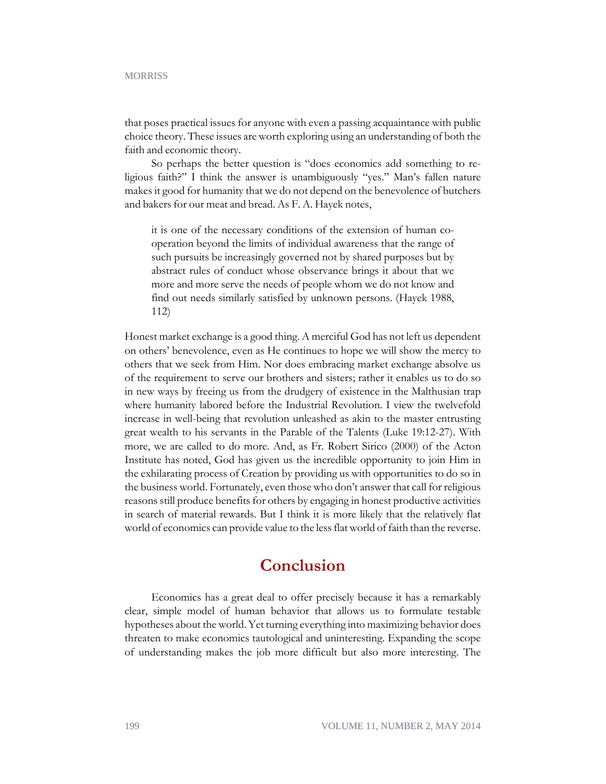#### **MORRISS**

that poses practical issues for anyone with even a passing acquaintance with public choice theory. These issues are worth exploring using an understanding of both the faith and economic theory.

So perhaps the better question is "does economics add something to religious faith?" I think the answer is unambiguously "yes." Man's fallen nature makes it good for humanity that we do not depend on the benevolence of butchers and bakers for our meat and bread. As F. A. Hayek notes,

it is one of the necessary conditions of the extension of human cooperation beyond the limits of individual awareness that the range of such pursuits be increasingly governed not by shared purposes but by abstract rules of conduct whose observance brings it about that we more and more serve the needs of people whom we do not know and find out needs similarly satisfied by unknown persons. (Hayek 1988, 112)

Honest market exchange is a good thing. A merciful God has not left us dependent on others' benevolence, even as He continues to hope we will show the mercy to others that we seek from Him. Nor does embracing market exchange absolve us of the requirement to serve our brothers and sisters; rather it enables us to do so in new ways by freeing us from the drudgery of existence in the Malthusian trap where humanity labored before the Industrial Revolution. I view the twelvefold increase in well-being that revolution unleashed as akin to the master entrusting great wealth to his servants in the Parable of the Talents (Luke 19:12-27). With more, we are called to do more. And, as Fr. Robert Sirico (2000) of the Acton Institute has noted, God has given us the incredible opportunity to join Him in the exhilarating process of Creation by providing us with opportunities to do so in the business world. Fortunately, even those who don't answer that call for religious reasons still produce benefits for others by engaging in honest productive activities in search of material rewards. But I think it is more likely that the relatively flat world of economics can provide value to the less flat world of faith than the reverse.

### **Conclusion**

Economics has a great deal to offer precisely because it has a remarkably clear, simple model of human behavior that allows us to formulate testable hypotheses about the world. Yet turning everything into maximizing behavior does threaten to make economics tautological and uninteresting. Expanding the scope of understanding makes the job more difficult but also more interesting. The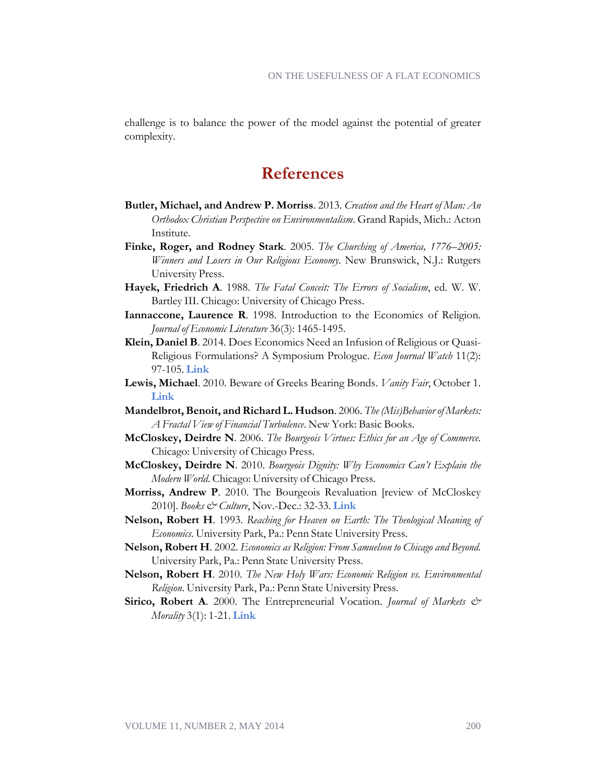challenge is to balance the power of the model against the potential of greater complexity.

### **References**

- **Butler, Michael, and Andrew P. Morriss**. 2013. *Creation and the Heart of Man: An Orthodox Christian Perspective on Environmentalism*. Grand Rapids, Mich.: Acton Institute.
- **Finke, Roger, and Rodney Stark**. 2005. *The Churching of America, 1776–2005: Winners and Losers in Our Religious Economy*. New Brunswick, N.J.: Rutgers University Press.
- **Hayek, Friedrich A**. 1988. *The Fatal Conceit: The Errors of Socialism*, ed. W. W. Bartley III. Chicago: University of Chicago Press.
- **Iannaccone, Laurence R**. 1998. Introduction to the Economics of Religion. *Journal of Economic Literature* 36(3): 1465-1495.
- **Klein, Daniel B**. 2014. Does Economics Need an Infusion of Religious or Quasi-Religious Formulations? A Symposium Prologue. *Econ Journal Watch* 11(2): 97-105. **[Link](http://econjwatch.org/924)**
- **Lewis, Michael**. 2010. Beware of Greeks Bearing Bonds. *Vanity Fair*, October 1. **[Link](http://www.vanityfair.com/business/features/2010/10/greeks-bearing-bonds-201010)**
- **Mandelbrot, Benoit, and Richard L. Hudson**. 2006. *The (Mis)Behavior of Markets: A Fractal View of Financial Turbulence*. New York: Basic Books.
- **McCloskey, Deirdre N**. 2006. *The Bourgeois Virtues: Ethics for an Age of Commerce*. Chicago: University of Chicago Press.
- **McCloskey, Deirdre N**. 2010. *Bourgeois Dignity: Why Economics Can't Explain the Modern World*. Chicago: University of Chicago Press.
- **Morriss, Andrew P**. 2010. The Bourgeois Revaluation [review of McCloskey 2010]. *Books & Culture*, Nov.-Dec.: 32-33. **[Link](http://www.deirdremccloskey.com/docs/BD-morris.pdf)**
- **Nelson, Robert H**. 1993. *Reaching for Heaven on Earth: The Theological Meaning of Economics*. University Park, Pa.: Penn State University Press.
- **Nelson, Robert H**. 2002. *Economics as Religion: From Samuelson to Chicago and Beyond*. University Park, Pa.: Penn State University Press.
- **Nelson, Robert H**. 2010. *The New Holy Wars: Economic Religion vs. Environmental Religion*. University Park, Pa.: Penn State University Press.
- **Sirico, Robert A**. 2000. The Entrepreneurial Vocation. *Journal of Markets & Morality* 3(1): 1-21. **[Link](http://www.marketsandmorality.com/index.php/mandm/article/view/608)**